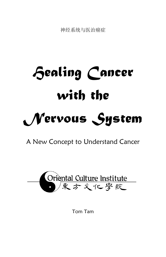神经系统与医治癌症

# *Healing Cancer with the Nervous System*

A New Concept to Understand Cancer



Tom Tam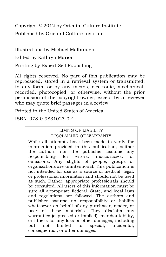Copyright © 2012 by Oriental Culture Institute Published by Oriental Culture Institute

Illustrations by Michael Malbrough Edited by Kathryn Marion

Printing by Expert Self Publishing

All rights reserved. No part of this publication may be reproduced, stored in a retrieval system or transmitted, in any form, or by any means, electronic, mechanical, recorded, photocopied, or otherwise, without the prior permission of the copyright owner, except by a reviewer who may quote brief passages in a review.

Printed in the United States of America

ISBN 978-0-9831023-0-4

#### LIMITS OF LIABILITY DISCLAIMER OF WARRANTY

While all attempts have been made to verify the information provided in this publication, neither the authors nor the publisher assume any responsibility for errors, inaccuracies, or omissions. Any slights of people, groups or organizations are unintentional. This publication is not intended for use as a source of medical, legal, or professional information and should not be used as such. Rather, appropriate professionals should be consulted. All users of this information must be sure all appropriate Federal, State, and local laws and regulations are followed. The authors and publisher assume no responsibility or liability whatsoever on behalf of any purchaser, reader, or user of these materials. They disclaim any warranties (expressed or implied), merchantability, or fitness for any loss or other damages, including but not limited to special, incidental, consequential, or other damages.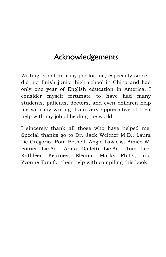## Acknowledgements

Writing is not an easy job for me, especially since I did not finish junior high school in China and had only one year of English education in America. I consider myself fortunate to have had many students, patients, doctors, and even children help me with my writing. I am very appreciative of their help with my job of healing the world.

I sincerely thank all those who have helped me. Special thanks go to Dr. Jack Weltner M.D., Laura De Gregorio, Roni Bethell, Angie Lawless, Aimée W. Poirier Lic.Ac., Anita Galletti Lic.Ac., Tom Lee, Kathleen Kearney, Eleanor Marks Ph.D., and Yvonne Tam for their help with compiling this book.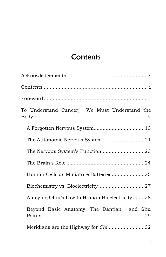## **Contents**

| To Understand Cancer, We Must Understand the  |
|-----------------------------------------------|
| A Forgotten Nervous System 13                 |
|                                               |
|                                               |
|                                               |
|                                               |
|                                               |
| Applying Ohm's Law to Human Bioelectricity 28 |
| Beyond Basic Anatomy: The Dantian and Shu     |
| Meridians are the Highway for Chi  32         |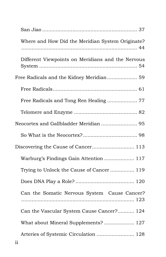| Where and How Did the Meridian System Originate?  |
|---------------------------------------------------|
| Different Viewpoints on Meridians and the Nervous |
|                                                   |
|                                                   |
| Free Radicals and Tong Ren Healing 77             |
|                                                   |
|                                                   |
|                                                   |
|                                                   |
| Warburg's Findings Gain Attention  117            |
| Trying to Unlock the Cause of Cancer 119          |
|                                                   |
| Can the Somatic Nervous System Cause Cancer?      |
| Can the Vascular System Cause Cancer? 124         |
| What about Mineral Supplements?  127              |
| Arteries of Systemic Circulation  128             |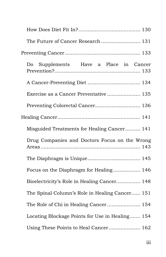| The Future of Cancer Research  131              |
|-------------------------------------------------|
|                                                 |
| Supplements Have a Place in Cancer<br>Do        |
|                                                 |
| Exercise as a Cancer Preventative 135           |
| Preventing Colorectal Cancer 136                |
|                                                 |
| Misguided Treatments for Healing Cancer 141     |
| Drug Companies and Doctors Focus on the Wrong   |
|                                                 |
| Focus on the Diaphragm for Healing 146          |
| Bioelectricity's Role in Healing Cancer 148     |
| The Spinal Column's Role in Healing Cancer 151  |
| The Role of Chi in Healing Cancer 154           |
| Locating Blockage Points for Use in Healing 154 |
| Using These Points to Heal Cancer 162           |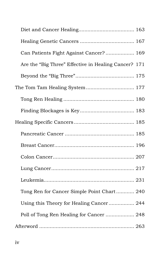| Can Patients Fight Against Cancer?  169              |
|------------------------------------------------------|
| Are the "Big Three" Effective in Healing Cancer? 171 |
|                                                      |
|                                                      |
|                                                      |
|                                                      |
|                                                      |
|                                                      |
|                                                      |
|                                                      |
|                                                      |
|                                                      |
| Tong Ren for Cancer Simple Point Chart 240           |
| Using this Theory for Healing Cancer 244             |
| Poll of Tong Ren Healing for Cancer  248             |
|                                                      |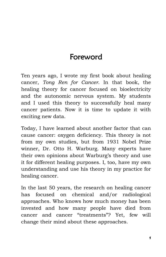## Foreword

Ten years ago, I wrote my first book about healing cancer, *Tong Ren for Cancer*. In that book, the healing theory for cancer focused on bioelectricity and the autonomic nervous system. My students and I used this theory to successfully heal many cancer patients. Now it is time to update it with exciting new data.

Today, I have learned about another factor that can cause cancer: oxygen deficiency. This theory is not from my own studies, but from 1931 Nobel Prize winner, Dr. Otto H. Warburg. Many experts have their own opinions about Warburg's theory and use it for different healing purposes. I, too, have my own understanding and use his theory in my practice for healing cancer.

In the last 50 years, the research on healing cancer has focused on chemical and/or radiological approaches. Who knows how much money has been invested and how many people have died from cancer and cancer "treatments"? Yet, few will change their mind about these approaches.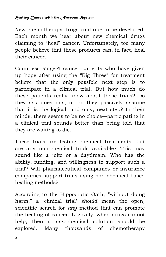New chemotherapy drugs continue to be developed. Each month we hear about new chemical drugs claiming to "heal" cancer. Unfortunately, too many people believe that these products can, in fact, heal their cancer.

Countless stage-4 cancer patients who have given up hope after using the "Big Three" for treatment believe that the only possible next step is to participate in a clinical trial. But how much do these patients really know about those trials? Do they ask questions, or do they passively assume that it is the logical, and only, next step? In their minds, there seems to be no choice—participating in a clinical trial sounds better than being told that they are waiting to die.

These trials are testing chemical treatments—but are any non-chemical trials available? This may sound like a joke or a daydream. Who has the ability, funding, and willingness to support such a trial? Will pharmaceutical companies or insurance companies support trials using non-chemical-based healing methods?

According to the Hippocratic Oath, "without doing harm," a 'clinical trial' *should* mean the open, scientific search for *any* method that can promote the healing of cancer. Logically, when drugs cannot help, then a *non*-chemical solution should be explored. Many thousands of chemotherapy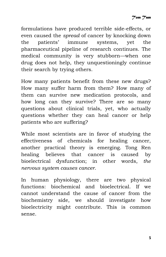formulations have produced terrible side-effects, or even caused the *spread* of cancer by knocking down the patients' immune systems, yet the pharmaceutical pipeline of research continues. The medical community is very stubborn—when one drug does not help, they unquestioningly continue their search by trying others.

How many patients benefit from these new drugs? How many suffer harm from them? How many of them can survive new medication protocols, and how long can they survive? There are so many questions about clinical trials, yet, who actually questions whether they can heal cancer or help patients who are suffering?

While most scientists are in favor of studying the effectiveness of chemicals for healing cancer, another practical theory is emerging. Tong Ren healing believes that cancer is caused by bioelectrical dysfunction; in other words, *the nervous system causes cancer*.

In human physiology, there are two physical functions: biochemical and bioelectrical. If we cannot understand the cause of cancer from the biochemistry side, we should investigate how bioelectricity might contribute. This is common sense.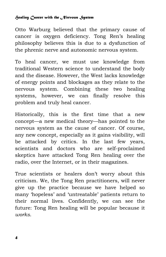Otto Warburg believed that the primary cause of cancer is oxygen deficiency. Tong Ren's healing philosophy believes this is due to a dysfunction of the phrenic nerve and autonomic nervous system.

To heal cancer, we must use knowledge from traditional Western science to understand the body and the disease. However, the West lacks knowledge of energy points and blockages as they relate to the nervous system. Combining these two healing systems, however, we can finally resolve this problem and truly heal cancer.

Historically, this is the first time that a new concept—a new medical theory—has pointed to the nervous system as the cause of cancer. Of course, any new concept, especially as it gains visibility, will be attacked by critics. In the last few years, scientists and doctors who are self-proclaimed skeptics have attacked Tong Ren healing over the radio, over the Internet, or in their magazines.

True scientists or healers don't worry about this criticism. We, the Tong Ren practitioners, will never give up the practice because we have helped so many 'hopeless' and 'untreatable' patients return to their normal lives. Confidently, we can see the future: Tong Ren healing will be popular because it *works*.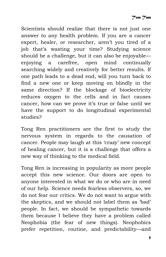Scientists should realize that there is not just one answer to any health problem. If you are a cancer expert, healer, or researcher, aren't you tired of a job that's wasting your time? Studying science should be a challenge, but it can also be enjoyable enjoying a carefree, open mind continually searching widely and creatively for better results. If one path leads to a dead end, will you turn back to find a new one or keep moving on blindly in the same direction? If the blockage of bioelectricity reduces oxygen to the cells and in fact causes cancer, how can we prove it's true or false until we have the support to do longitudinal experimental studies?

Tong Ren practitioners are the first to study the nervous system in regards to the causation of cancer. People may laugh at this 'crazy' new concept of healing cancer, but it is a challenge that offers a new way of thinking to the medical field.

Tong Ren is increasing in popularity as more people accept this new science. Our doors are open to anyone interested in what we do or who are in need of our help. Science needs fearless observers, so, we do not fear our critics. We do not want to argue with the skeptics, and we should not label them as 'bad' people. In fact, we should be sympathetic towards them because I believe they have a problem called Neophobia (the fear of new things). Neophobics prefer repetition, routine, and predictability—and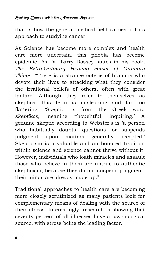that is how the general medical field carries out its approach to studying cancer.

As Science has become more complex and health care more uncertain, this phobia has become epidemic. As Dr. Larry Dossey states in his book, *The Extra-Ordinary Healing Power of Ordinary Things*: "There is a strange coterie of humans who devote their lives to attacking what they consider the irrational beliefs of others, often with great fanfare. Although they refer to themselves as skeptics, this term is misleading and far too flattering. 'Skeptic' is from the Greek word *skeptikos*, meaning 'thoughtful, inquiring.' A genuine skeptic according to Webster's is 'a person who habitually doubts, questions, or suspends judgment upon matters generally accepted.' Skepticism is a valuable and an honored tradition within science and science cannot thrive without it. However, individuals who loath miracles and assault those who believe in them are untrue to authentic skepticism, because they do not suspend judgment; their minds are already made up."

Traditional approaches to health care are becoming more closely scrutinized as many patients look for complementary means of dealing with the source of their illness. Interestingly, research is showing that seventy percent of all illnesses have a psychological source, with stress being the leading factor.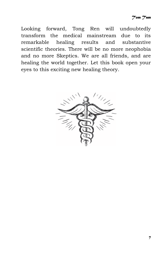Looking forward, Tong Ren will undoubtedly transform the medical mainstream due to its remarkable healing results and substantive scientific theories. There will be no more neophobia and no more Skeptics. We are all friends, and are healing the world together. Let this book open your eyes to this exciting new healing theory.

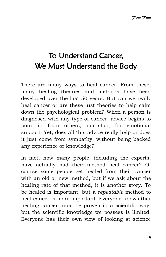## To Understand Cancer, We Must Understand the Body

There are many ways to heal cancer. From these, many healing theories and methods have been developed over the last 50 years. But can we really heal cancer or are these just theories to help calm down the psychological problem? When a person is diagnosed with any type of cancer, advice begins to pour in from others, non-stop, for emotional support. Yet, does all this advice really help or does it just come from sympathy, without being backed any experience or knowledge?

In fact, how many people, including the experts, have actually had their method heal cancer? Of course some people get healed from their cancer with an old or new method, but if we ask about the healing rate of that method, it is another story. To be healed is important, but a *repeatable* method to heal cancer is more important. Everyone knows that healing cancer must be proven in a scientific way, but the scientific knowledge we possess is limited. Everyone has their own view of looking at science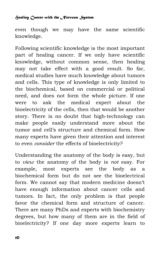even though we may have the same scientific knowledge.

Following scientific knowledge is the most important part of healing cancer. If we only have scientific knowledge, without common sense, then healing may not take effect with a good result. So far, medical studies have much knowledge about tumors and cells. This type of knowledge is only limited to the biochemical, based on commercial or political need, and does not form the whole picture. If one were to ask the medical expert about the bioelectricity of the cells, then that would be another story. There is no doubt that high-technology can make people easily understand more about the tumor and cell's structure and chemical form. How many experts have given their attention and interest to even *consider* the effects of bioelectricity?

Understanding the anatomy of the body is easy, but to *view* the anatomy of the body is *not* easy. For example, most experts see the body as a biochemical form but do not see the bioelectrical form. We cannot say that modern medicine doesn't have enough information about cancer cells and tumors. In fact, the only problem is that people favor the chemical form and structure of cancer. There are many PhDs and experts with biochemistry degrees, but how many of them are in the field of bioelectricity? If one day more experts learn to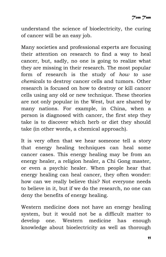understand the science of bioelectricity, the curing of cancer will be an easy job.

Many societies and professional experts are focusing their attention on research to find a way to heal cancer, but, sadly, no one is going to realize what they are missing in their research. The most popular form of research is the study of *how to use chemicals* to destroy cancer cells and tumors. Other research is focused on how to destroy or kill cancer cells using any old or new technique. These theories are not only popular in the West, but are shared by many nations. For example, in China, when a person is diagnosed with cancer, the first step they take is to discover which herb or diet they should take (in other words, a chemical approach).

It is very often that we hear someone tell a story that energy healing techniques can heal some cancer cases. This energy healing may be from an energy healer, a religion healer, a Chi Gong master, or even a psychic healer. When people hear that energy healing can heal cancer, they often wonder: how can we really believe this? Not everyone needs to believe in it, but if we do the research, no one can deny the benefits of energy healing.

Western medicine does not have an energy healing system, but it would not be a difficult matter to develop one. Western medicine has enough knowledge about bioelectricity as well as thorough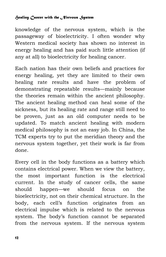knowledge of the nervous system, which is the passageway of bioelectricity. I often wonder why Western medical society has shown no interest in energy healing and has paid such little attention (if any at all) to bioelectricity for healing cancer.

Each nation has their own beliefs and practices for energy healing, yet they are limited to their own healing rate results and have the problem of demonstrating repeatable results—mainly because the theories remain within the ancient philosophy. The ancient healing method can heal some of the sickness, but its healing rate and range still need to be proven, just as an old computer needs to be updated. To match ancient healing with modern medical philosophy is not an easy job. In China, the TCM experts try to put the meridian theory and the nervous system together, yet their work is far from done.

Every cell in the body functions as a battery which contains electrical power. When we view the battery, the most important function is the electrical current. In the study of cancer cells, the same should happen—we should focus on the bioelectricity, not on their chemical structure. In the body, each cell's function originates from an electrical impulse which is related to the nervous system. The body's function cannot be separated from the nervous system. If the nervous system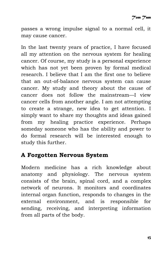passes a wrong impulse signal to a normal cell, it may cause cancer.

In the last twenty years of practice, I have focused all my attention on the nervous system for healing cancer. Of course, my study is a personal experience which has not yet been proven by formal medical research. I believe that I am the first one to believe that an out-of-balance nervous system can cause cancer. My study and theory about the cause of cancer does not follow the mainstream—I view cancer cells from another angle. I am not attempting to create a strange, new idea to get attention. I simply want to share my thoughts and ideas gained from my healing practice experience. Perhaps someday someone who has the ability and power to do formal research will be interested enough to study this further.

### **A Forgotten Nervous System**

Modern medicine has a rich knowledge about anatomy and physiology. The nervous system consists of the brain, spinal cord, and a complex network of neurons. It monitors and coordinates internal organ function, responds to changes in the external environment, and is responsible for sending, receiving, and interpreting information from all parts of the body.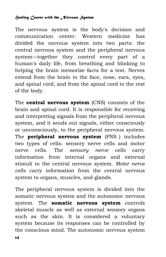The nervous system is the body's decision and communication center. Western medicine has divided the nervous system into two parts: the central nervous system and the peripheral nervous system—together they control every part of a human's daily life, from breathing and blinking to helping the brain memorize facts for a test. Nerves extend from the brain to the face, nose, ears, eyes, and spinal cord, and from the spinal cord to the rest of the body.

The **central nervous system** (CNS) consists of the brain and spinal cord. It is responsible for receiving and interpreting signals from the peripheral nervous system, and it sends out signals, either consciously or unconsciously, to the peripheral nervous system. The **peripheral nervous system** (PNS) includes two types of cells: sensory nerve cells and motor nerve cells. The *sensory nerve cells* carry information from internal organs and external stimuli to the central nervous system. *Motor nerve cells* carry information from the central nervous system to organs, muscles, and glands.

The peripheral nervous system is divided into the somatic nervous system and the autonomic nervous system. The **somatic nervous system** controls skeletal muscle as well as external sensory organs such as the skin. It is considered a voluntary system because its responses can be controlled by the conscious mind. The autonomic nervous system